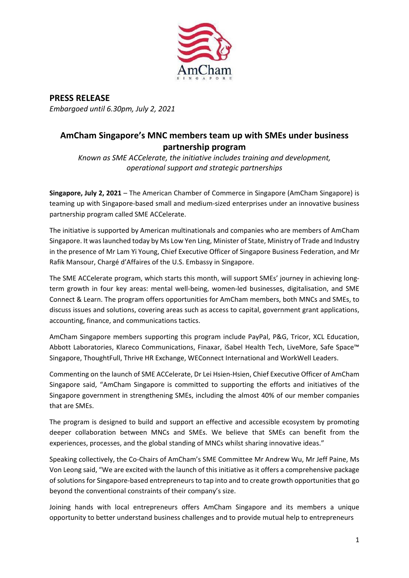

**PRESS RELEASE**  *Embargoed until 6.30pm, July 2, 2021*

## **AmCham Singapore's MNC members team up with SMEs under business partnership program**

*Known as SME ACCelerate, the initiative includes training and development, operational support and strategic partnerships* 

**Singapore, July 2, 2021** – The American Chamber of Commerce in Singapore (AmCham Singapore) is teaming up with Singapore-based small and medium-sized enterprises under an innovative business partnership program called SME ACCelerate.

The initiative is supported by American multinationals and companies who are members of AmCham Singapore. It was launched today by Ms Low Yen Ling, Minister of State, Ministry of Trade and Industry in the presence of Mr Lam Yi Young, Chief Executive Officer of Singapore Business Federation, and Mr Rafik Mansour, Chargé d'Affaires of the U.S. Embassy in Singapore.

The SME ACCelerate program, which starts this month, will support SMEs' journey in achieving longterm growth in four key areas: mental well-being, women-led businesses, digitalisation, and SME Connect & Learn. The program offers opportunities for AmCham members, both MNCs and SMEs, to discuss issues and solutions, covering areas such as access to capital, government grant applications, accounting, finance, and communications tactics.

AmCham Singapore members supporting this program include PayPal, P&G, Tricor, XCL Education, Abbott Laboratories, Klareco Communications, Finaxar, iSabel Health Tech, LiveMore, Safe Space™ Singapore, ThoughtFull, Thrive HR Exchange, WEConnect International and WorkWell Leaders.

Commenting on the launch of SME ACCelerate, Dr Lei Hsien-Hsien, Chief Executive Officer of AmCham Singapore said, "AmCham Singapore is committed to supporting the efforts and initiatives of the Singapore government in strengthening SMEs, including the almost 40% of our member companies that are SMEs.

The program is designed to build and support an effective and accessible ecosystem by promoting deeper collaboration between MNCs and SMEs. We believe that SMEs can benefit from the experiences, processes, and the global standing of MNCs whilst sharing innovative ideas."

Speaking collectively, the Co-Chairs of AmCham's SME Committee Mr Andrew Wu, Mr Jeff Paine, Ms Von Leong said, "We are excited with the launch of this initiative as it offers a comprehensive package of solutions for Singapore-based entrepreneurs to tap into and to create growth opportunities that go beyond the conventional constraints of their company's size.

Joining hands with local entrepreneurs offers AmCham Singapore and its members a unique opportunity to better understand business challenges and to provide mutual help to entrepreneurs